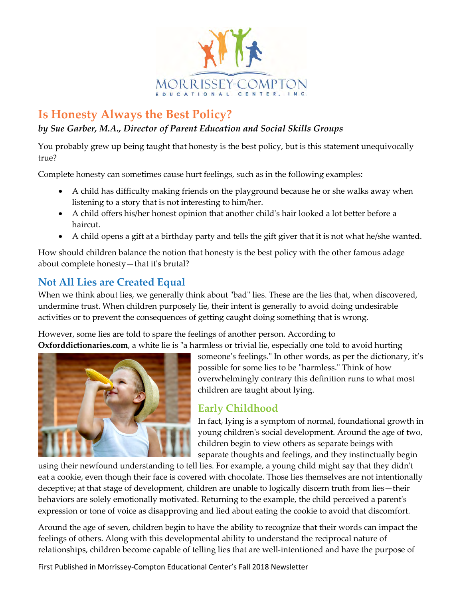

# **Is Honesty Always the Best Policy?**

#### *by Sue Garber, M.A., Director of Parent Education and Social Skills Groups*

You probably grew up being taught that honesty is the best policy, but is this statement unequivocally true?

Complete honesty can sometimes cause hurt feelings, such as in the following examples:

- A child has difficulty making friends on the playground because he or she walks away when listening to a story that is not interesting to him/her.
- A child offers his/her honest opinion that another child's hair looked a lot better before a haircut.
- A child opens a gift at a birthday party and tells the gift giver that it is not what he/she wanted.

How should children balance the notion that honesty is the best policy with the other famous adage about complete honesty—that it's brutal?

# **Not All Lies are Created Equal**

When we think about lies, we generally think about "bad" lies. These are the lies that, when discovered, undermine trust. When children purposely lie, their intent is generally to avoid doing undesirable activities or to prevent the consequences of getting caught doing something that is wrong.

However, some lies are told to spare the feelings of another person. According to **Oxforddictionaries.com**, a white lie is "a harmless or trivial lie, especially one told to avoid hurting



someone's feelings." In other words, as per the dictionary, it's possible for some lies to be "harmless." Think of how overwhelmingly contrary this definition runs to what most children are taught about lying.

# **Early Childhood**

In fact, lying is a symptom of normal, foundational growth in young children's social development. Around the age of two, children begin to view others as separate beings with separate thoughts and feelings, and they instinctually begin

using their newfound understanding to tell lies. For example, a young child might say that they didn't eat a cookie, even though their face is covered with chocolate. Those lies themselves are not intentionally deceptive; at that stage of development, children are unable to logically discern truth from lies—their behaviors are solely emotionally motivated. Returning to the example, the child perceived a parent's expression or tone of voice as disapproving and lied about eating the cookie to avoid that discomfort.

Around the age of seven, children begin to have the ability to recognize that their words can impact the feelings of others. Along with this developmental ability to understand the reciprocal nature of relationships, children become capable of telling lies that are well-intentioned and have the purpose of

First Published in Morrissey-Compton Educational Center's Fall 2018 Newsletter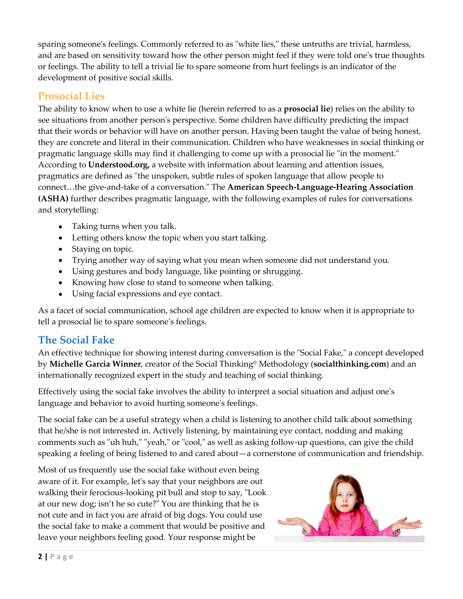sparing someone's feelings. Commonly referred to as "white lies," these untruths are trivial, harmless, and are based on sensitivity toward how the other person might feel if they were told one's true thoughts or feelings. The ability to tell a trivial lie to spare someone from hurt feelings is an indicator of the development of positive social skills.

#### **Prosocial Lies**

The ability to know when to use a white lie (herein referred to as a **prosocial lie**) relies on the ability to see situations from another person's perspective. Some children have difficulty predicting the impact that their words or behavior will have on another person. Having been taught the value of being honest, they are concrete and literal in their communication. Children who have weaknesses in social thinking or pragmatic language skills may find it challenging to come up with a prosocial lie "in the moment." According to **Understood.org,** a website with information about learning and attention issues, pragmatics are defined as "the unspoken, subtle rules of spoken language that allow people to connect…the give-and-take of a conversation." The **American Speech-Language-Hearing Association (ASHA)** further describes pragmatic language, with the following examples of rules for conversations and storytelling:

- Taking turns when you talk.
- Letting others know the topic when you start talking.
- Staying on topic.
- Trying another way of saying what you mean when someone did not understand you.
- Using gestures and body language, like pointing or shrugging.
- Knowing how close to stand to someone when talking.
- Using facial expressions and eye contact.

As a facet of social communication, school age children are expected to know when it is appropriate to tell a prosocial lie to spare someone's feelings.

# **The Social Fake**

An effective technique for showing interest during conversation is the "Social Fake," a concept developed by **Michelle Garcia Winner**, creator of the Social Thinking® Methodology (**socialthinking.com**) and an internationally recognized expert in the study and teaching of social thinking.

Effectively using the social fake involves the ability to interpret a social situation and adjust one's language and behavior to avoid hurting someone's feelings.

The social fake can be a useful strategy when a child is listening to another child talk about something that he/she is not interested in. Actively listening, by maintaining eye contact, nodding and making comments such as "uh huh," "yeah," or "cool," as well as asking follow-up questions, can give the child speaking a feeling of being listened to and cared about—a cornerstone of communication and friendship.

Most of us frequently use the social fake without even being aware of it. For example, let's say that your neighbors are out walking their ferocious-looking pit bull and stop to say, "Look at our new dog; isn't he so cute?" You are thinking that he is not cute and in fact you are afraid of big dogs. You could use the social fake to make a comment that would be positive and leave your neighbors feeling good. Your response might be

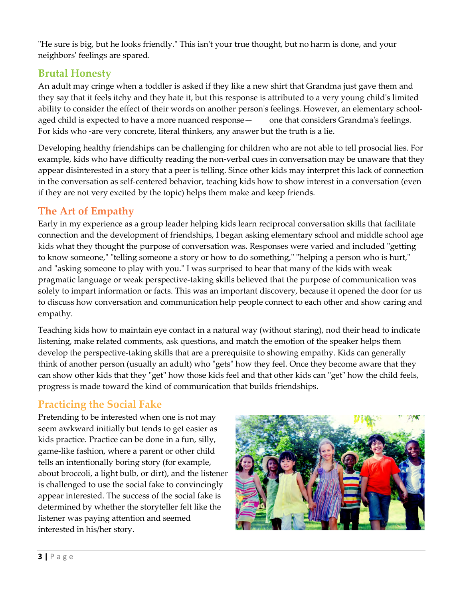"He sure is big, but he looks friendly." This isn't your true thought, but no harm is done, and your neighbors' feelings are spared.

### **Brutal Honesty**

An adult may cringe when a toddler is asked if they like a new shirt that Grandma just gave them and they say that it feels itchy and they hate it, but this response is attributed to a very young child's limited ability to consider the effect of their words on another person's feelings. However, an elementary schoolaged child is expected to have a more nuanced response — one that considers Grandma's feelings. For kids who -are very concrete, literal thinkers, any answer but the truth is a lie.

Developing healthy friendships can be challenging for children who are not able to tell prosocial lies. For example, kids who have difficulty reading the non-verbal cues in conversation may be unaware that they appear disinterested in a story that a peer is telling. Since other kids may interpret this lack of connection in the conversation as self-centered behavior, teaching kids how to show interest in a conversation (even if they are not very excited by the topic) helps them make and keep friends.

# **The Art of Empathy**

Early in my experience as a group leader helping kids learn reciprocal conversation skills that facilitate connection and the development of friendships, I began asking elementary school and middle school age kids what they thought the purpose of conversation was. Responses were varied and included "getting to know someone," "telling someone a story or how to do something," "helping a person who is hurt," and "asking someone to play with you." I was surprised to hear that many of the kids with weak pragmatic language or weak perspective-taking skills believed that the purpose of communication was solely to impart information or facts. This was an important discovery, because it opened the door for us to discuss how conversation and communication help people connect to each other and show caring and empathy.

Teaching kids how to maintain eye contact in a natural way (without staring), nod their head to indicate listening, make related comments, ask questions, and match the emotion of the speaker helps them develop the perspective-taking skills that are a prerequisite to showing empathy. Kids can generally think of another person (usually an adult) who "gets" how they feel. Once they become aware that they can show other kids that they "get" how those kids feel and that other kids can "get" how the child feels, progress is made toward the kind of communication that builds friendships.

# **Practicing the Social Fake**

Pretending to be interested when one is not may seem awkward initially but tends to get easier as kids practice. Practice can be done in a fun, silly, game-like fashion, where a parent or other child tells an intentionally boring story (for example, about broccoli, a light bulb, or dirt), and the listener is challenged to use the social fake to convincingly appear interested. The success of the social fake is determined by whether the storyteller felt like the listener was paying attention and seemed interested in his/her story.